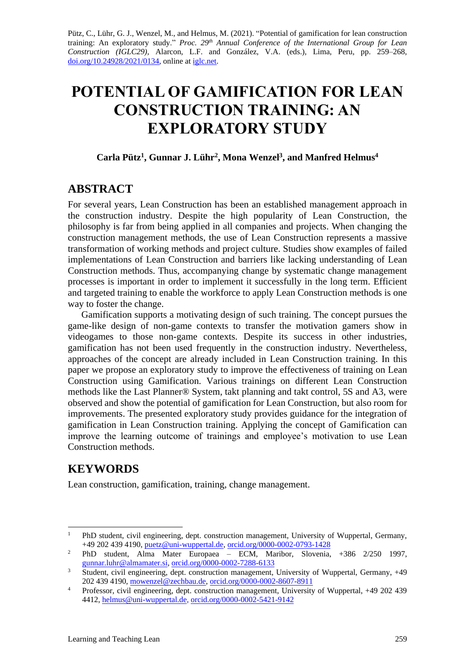Pütz, C., Lühr, G. J., Wenzel, M., and Helmus, M. (2021). "Potential of gamification for lean construction training: An exploratory study." *Proc. 29 th Annual Conference of the International Group for Lean Construction (IGLC29),* Alarcon, L.F. and González, V.A. (eds.)*,* Lima, Peru, pp. 259–268, [doi.org/10.24928/2021/0134,](https://doi.org/10.24928/2021/0134) online a[t iglc.net.](http://iglc.net/)

# **POTENTIAL OF GAMIFICATION FOR LEAN CONSTRUCTION TRAINING: AN EXPLORATORY STUDY**

#### **Carla Pütz<sup>1</sup> , Gunnar J. Lühr<sup>2</sup> , Mona Wenzel<sup>3</sup> , and Manfred Helmus<sup>4</sup>**

### **ABSTRACT**

For several years, Lean Construction has been an established management approach in the construction industry. Despite the high popularity of Lean Construction, the philosophy is far from being applied in all companies and projects. When changing the construction management methods, the use of Lean Construction represents a massive transformation of working methods and project culture. Studies show examples of failed implementations of Lean Construction and barriers like lacking understanding of Lean Construction methods. Thus, accompanying change by systematic change management processes is important in order to implement it successfully in the long term. Efficient and targeted training to enable the workforce to apply Lean Construction methods is one way to foster the change.

Gamification supports a motivating design of such training. The concept pursues the game-like design of non-game contexts to transfer the motivation gamers show in videogames to those non-game contexts. Despite its success in other industries, gamification has not been used frequently in the construction industry. Nevertheless, approaches of the concept are already included in Lean Construction training. In this paper we propose an exploratory study to improve the effectiveness of training on Lean Construction using Gamification. Various trainings on different Lean Construction methods like the Last Planner® System, takt planning and takt control, 5S and A3, were observed and show the potential of gamification for Lean Construction, but also room for improvements. The presented exploratory study provides guidance for the integration of gamification in Lean Construction training. Applying the concept of Gamification can improve the learning outcome of trainings and employee's motivation to use Lean Construction methods.

## **KEYWORDS**

Lean construction, gamification, training, change management.

<sup>&</sup>lt;sup>1</sup> PhD student, civil engineering, dept. construction management, University of Wuppertal, Germany, +49 202 439 4190, [puetz@uni-wuppertal.de,](mailto:puetz@uni-wuppertal.de) [orcid.org/0000-0002-0793-1428](https://orcid.org/0000-0002-0793-1428)

<sup>&</sup>lt;sup>2</sup> PhD student, Alma Mater Europaea – ECM, Maribor, Slovenia,  $+386$  2/250 1997, [gunnar.luhr@almamater.si,](mailto:gunnar.luhr@almamater.si) [orcid.org/0000-0002-7288-6133](https://orcid.org/0000-0002-7288-6133)

<sup>&</sup>lt;sup>3</sup> Student, civil engineering, dept. construction management, University of Wuppertal, Germany, +49 202 439 4190, [mowenzel@zechbau.de,](mailto:mowenzel@zechbau.de) [orcid.org/0000-0002-8607-8911](https://orcid.org/0000-0002-8607-8911)

<sup>&</sup>lt;sup>4</sup> Professor, civil engineering, dept. construction management, University of Wuppertal, +49 202 439 4412, [helmus@uni-wuppertal.de,](mailto:helmus@uni-wuppertal.de) [orcid.org/0000-0002-5421-9142](https://orcid.org/0000-0002-5421-9142)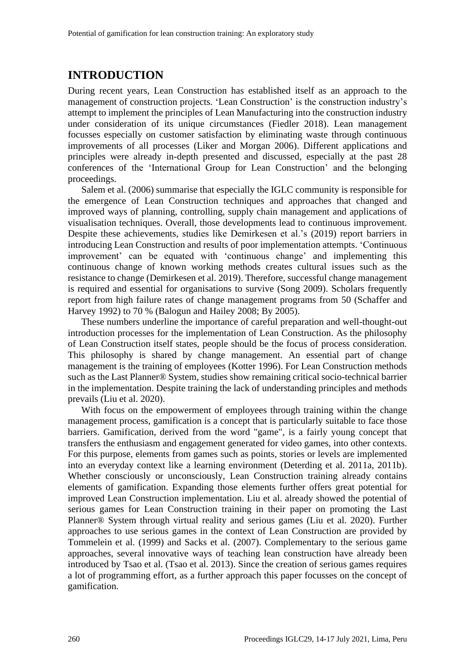# **INTRODUCTION**

During recent years, Lean Construction has established itself as an approach to the management of construction projects. 'Lean Construction' is the construction industry's attempt to implement the principles of Lean Manufacturing into the construction industry under consideration of its unique circumstances (Fiedler 2018). Lean management focusses especially on customer satisfaction by eliminating waste through continuous improvements of all processes (Liker and Morgan 2006). Different applications and principles were already in-depth presented and discussed, especially at the past 28 conferences of the 'International Group for Lean Construction' and the belonging proceedings.

Salem et al. (2006) summarise that especially the IGLC community is responsible for the emergence of Lean Construction techniques and approaches that changed and improved ways of planning, controlling, supply chain management and applications of visualisation techniques. Overall, those developments lead to continuous improvement. Despite these achievements, studies like Demirkesen et al.'s (2019) report barriers in introducing Lean Construction and results of poor implementation attempts. 'Continuous improvement' can be equated with 'continuous change' and implementing this continuous change of known working methods creates cultural issues such as the resistance to change (Demirkesen et al. 2019). Therefore, successful change management is required and essential for organisations to survive (Song 2009). Scholars frequently report from high failure rates of change management programs from 50 (Schaffer and Harvey 1992) to 70 % (Balogun and Hailey 2008; By 2005).

These numbers underline the importance of careful preparation and well-thought-out introduction processes for the implementation of Lean Construction. As the philosophy of Lean Construction itself states, people should be the focus of process consideration. This philosophy is shared by change management. An essential part of change management is the training of employees (Kotter 1996). For Lean Construction methods such as the Last Planner® System, studies show remaining critical socio-technical barrier in the implementation. Despite training the lack of understanding principles and methods prevails (Liu et al. 2020).

With focus on the empowerment of employees through training within the change management process, gamification is a concept that is particularly suitable to face those barriers. Gamification, derived from the word "game", is a fairly young concept that transfers the enthusiasm and engagement generated for video games, into other contexts. For this purpose, elements from games such as points, stories or levels are implemented into an everyday context like a learning environment (Deterding et al. 2011a, 2011b). Whether consciously or unconsciously, Lean Construction training already contains elements of gamification. Expanding those elements further offers great potential for improved Lean Construction implementation. Liu et al. already showed the potential of serious games for Lean Construction training in their paper on promoting the Last Planner® System through virtual reality and serious games (Liu et al. 2020). Further approaches to use serious games in the context of Lean Construction are provided by Tommelein et al. (1999) and Sacks et al. (2007). Complementary to the serious game approaches, several innovative ways of teaching lean construction have already been introduced by Tsao et al. (Tsao et al. 2013). Since the creation of serious games requires a lot of programming effort, as a further approach this paper focusses on the concept of gamification.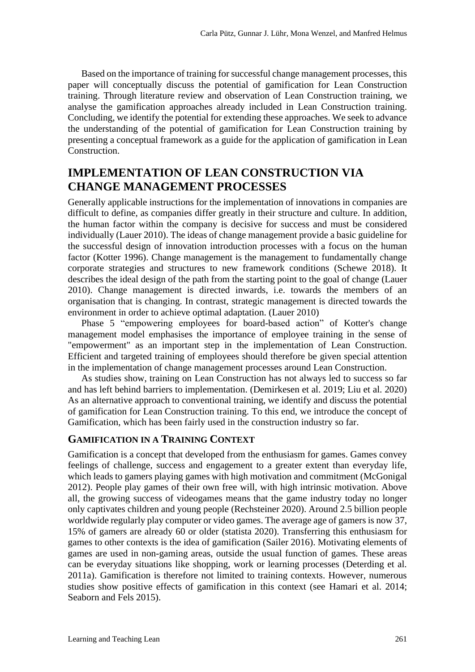Based on the importance of training for successful change management processes, this paper will conceptually discuss the potential of gamification for Lean Construction training. Through literature review and observation of Lean Construction training, we analyse the gamification approaches already included in Lean Construction training. Concluding, we identify the potential for extending these approaches. We seek to advance the understanding of the potential of gamification for Lean Construction training by presenting a conceptual framework as a guide for the application of gamification in Lean Construction.

## **IMPLEMENTATION OF LEAN CONSTRUCTION VIA CHANGE MANAGEMENT PROCESSES**

Generally applicable instructions for the implementation of innovations in companies are difficult to define, as companies differ greatly in their structure and culture. In addition, the human factor within the company is decisive for success and must be considered individually (Lauer 2010). The ideas of change management provide a basic guideline for the successful design of innovation introduction processes with a focus on the human factor (Kotter 1996). Change management is the management to fundamentally change corporate strategies and structures to new framework conditions (Schewe 2018). It describes the ideal design of the path from the starting point to the goal of change (Lauer 2010). Change management is directed inwards, i.e. towards the members of an organisation that is changing. In contrast, strategic management is directed towards the environment in order to achieve optimal adaptation. (Lauer 2010)

Phase 5 "empowering employees for board-based action" of Kotter's change management model emphasises the importance of employee training in the sense of "empowerment" as an important step in the implementation of Lean Construction. Efficient and targeted training of employees should therefore be given special attention in the implementation of change management processes around Lean Construction.

As studies show, training on Lean Construction has not always led to success so far and has left behind barriers to implementation. (Demirkesen et al. 2019; Liu et al. 2020) As an alternative approach to conventional training, we identify and discuss the potential of gamification for Lean Construction training. To this end, we introduce the concept of Gamification, which has been fairly used in the construction industry so far.

#### **GAMIFICATION IN A TRAINING CONTEXT**

Gamification is a concept that developed from the enthusiasm for games. Games convey feelings of challenge, success and engagement to a greater extent than everyday life, which leads to gamers playing games with high motivation and commitment (McGonigal 2012). People play games of their own free will, with high intrinsic motivation. Above all, the growing success of videogames means that the game industry today no longer only captivates children and young people (Rechsteiner 2020). Around 2.5 billion people worldwide regularly play computer or video games. The average age of gamers is now 37, 15% of gamers are already 60 or older (statista 2020). Transferring this enthusiasm for games to other contexts is the idea of gamification (Sailer 2016). Motivating elements of games are used in non-gaming areas, outside the usual function of games. These areas can be everyday situations like shopping, work or learning processes (Deterding et al. 2011a). Gamification is therefore not limited to training contexts. However, numerous studies show positive effects of gamification in this context (see Hamari et al. 2014; Seaborn and Fels 2015).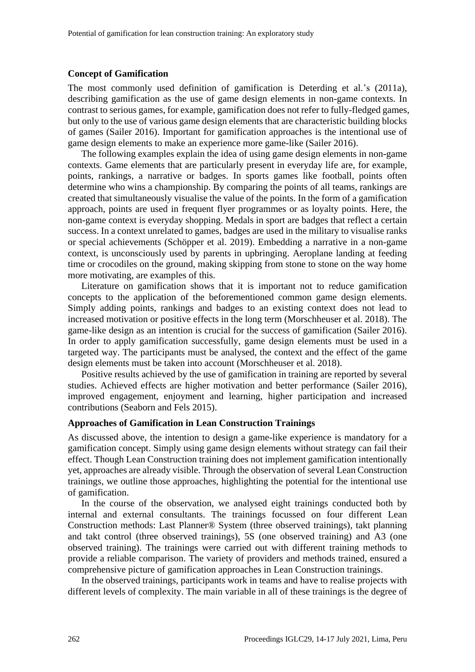#### **Concept of Gamification**

The most commonly used definition of gamification is Deterding et al.'s (2011a), describing gamification as the use of game design elements in non-game contexts. In contrast to serious games, for example, gamification does not refer to fully-fledged games, but only to the use of various game design elements that are characteristic building blocks of games (Sailer 2016). Important for gamification approaches is the intentional use of game design elements to make an experience more game-like (Sailer 2016).

The following examples explain the idea of using game design elements in non-game contexts. Game elements that are particularly present in everyday life are, for example, points, rankings, a narrative or badges. In sports games like football, points often determine who wins a championship. By comparing the points of all teams, rankings are created that simultaneously visualise the value of the points. In the form of a gamification approach, points are used in frequent flyer programmes or as loyalty points. Here, the non-game context is everyday shopping. Medals in sport are badges that reflect a certain success. In a context unrelated to games, badges are used in the military to visualise ranks or special achievements (Schöpper et al. 2019). Embedding a narrative in a non-game context, is unconsciously used by parents in upbringing. Aeroplane landing at feeding time or crocodiles on the ground, making skipping from stone to stone on the way home more motivating, are examples of this.

Literature on gamification shows that it is important not to reduce gamification concepts to the application of the beforementioned common game design elements. Simply adding points, rankings and badges to an existing context does not lead to increased motivation or positive effects in the long term (Morschheuser et al. 2018). The game-like design as an intention is crucial for the success of gamification (Sailer 2016). In order to apply gamification successfully, game design elements must be used in a targeted way. The participants must be analysed, the context and the effect of the game design elements must be taken into account (Morschheuser et al. 2018).

Positive results achieved by the use of gamification in training are reported by several studies. Achieved effects are higher motivation and better performance (Sailer 2016), improved engagement, enjoyment and learning, higher participation and increased contributions (Seaborn and Fels 2015).

#### **Approaches of Gamification in Lean Construction Trainings**

As discussed above, the intention to design a game-like experience is mandatory for a gamification concept. Simply using game design elements without strategy can fail their effect. Though Lean Construction training does not implement gamification intentionally yet, approaches are already visible. Through the observation of several Lean Construction trainings, we outline those approaches, highlighting the potential for the intentional use of gamification.

In the course of the observation, we analysed eight trainings conducted both by internal and external consultants. The trainings focussed on four different Lean Construction methods: Last Planner® System (three observed trainings), takt planning and takt control (three observed trainings), 5S (one observed training) and A3 (one observed training). The trainings were carried out with different training methods to provide a reliable comparison. The variety of providers and methods trained, ensured a comprehensive picture of gamification approaches in Lean Construction trainings.

In the observed trainings, participants work in teams and have to realise projects with different levels of complexity. The main variable in all of these trainings is the degree of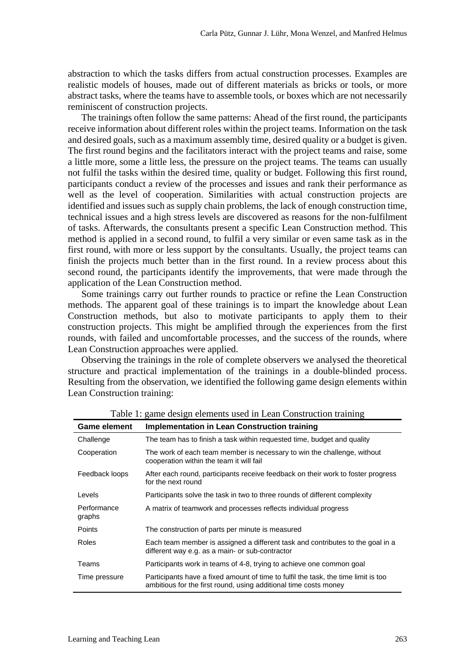abstraction to which the tasks differs from actual construction processes. Examples are realistic models of houses, made out of different materials as bricks or tools, or more abstract tasks, where the teams have to assemble tools, or boxes which are not necessarily reminiscent of construction projects.

The trainings often follow the same patterns: Ahead of the first round, the participants receive information about different roles within the project teams. Information on the task and desired goals, such as a maximum assembly time, desired quality or a budget is given. The first round begins and the facilitators interact with the project teams and raise, some a little more, some a little less, the pressure on the project teams. The teams can usually not fulfil the tasks within the desired time, quality or budget. Following this first round, participants conduct a review of the processes and issues and rank their performance as well as the level of cooperation. Similarities with actual construction projects are identified and issues such as supply chain problems, the lack of enough construction time, technical issues and a high stress levels are discovered as reasons for the non-fulfilment of tasks. Afterwards, the consultants present a specific Lean Construction method. This method is applied in a second round, to fulfil a very similar or even same task as in the first round, with more or less support by the consultants. Usually, the project teams can finish the projects much better than in the first round. In a review process about this second round, the participants identify the improvements, that were made through the application of the Lean Construction method.

Some trainings carry out further rounds to practice or refine the Lean Construction methods. The apparent goal of these trainings is to impart the knowledge about Lean Construction methods, but also to motivate participants to apply them to their construction projects. This might be amplified through the experiences from the first rounds, with failed and uncomfortable processes, and the success of the rounds, where Lean Construction approaches were applied.

Observing the trainings in the role of complete observers we analysed the theoretical structure and practical implementation of the trainings in a double-blinded process. Resulting from the observation, we identified the following game design elements within Lean Construction training:

| <b>Game element</b>   | <b>Implementation in Lean Construction training</b>                                                                                                    |
|-----------------------|--------------------------------------------------------------------------------------------------------------------------------------------------------|
| Challenge             | The team has to finish a task within requested time, budget and quality                                                                                |
| Cooperation           | The work of each team member is necessary to win the challenge, without<br>cooperation within the team it will fail                                    |
| Feedback loops        | After each round, participants receive feedback on their work to foster progress<br>for the next round                                                 |
| Levels                | Participants solve the task in two to three rounds of different complexity                                                                             |
| Performance<br>graphs | A matrix of teamwork and processes reflects individual progress                                                                                        |
| <b>Points</b>         | The construction of parts per minute is measured                                                                                                       |
| Roles                 | Each team member is assigned a different task and contributes to the goal in a<br>different way e.g. as a main- or sub-contractor                      |
| Teams                 | Participants work in teams of 4-8, trying to achieve one common goal                                                                                   |
| Time pressure         | Participants have a fixed amount of time to fulfil the task, the time limit is too<br>ambitious for the first round, using additional time costs money |

Table 1: game design elements used in Lean Construction training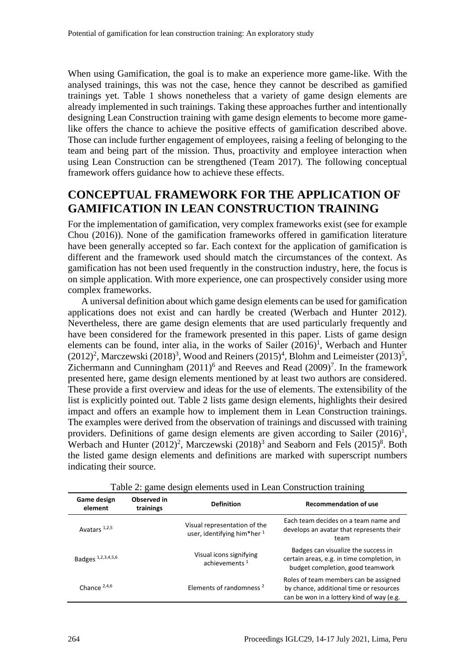When using Gamification, the goal is to make an experience more game-like. With the analysed trainings, this was not the case, hence they cannot be described as gamified trainings yet. Table 1 shows nonetheless that a variety of game design elements are already implemented in such trainings. Taking these approaches further and intentionally designing Lean Construction training with game design elements to become more gamelike offers the chance to achieve the positive effects of gamification described above. Those can include further engagement of employees, raising a feeling of belonging to the team and being part of the mission. Thus, proactivity and employee interaction when using Lean Construction can be strengthened (Team 2017). The following conceptual framework offers guidance how to achieve these effects.

### **CONCEPTUAL FRAMEWORK FOR THE APPLICATION OF GAMIFICATION IN LEAN CONSTRUCTION TRAINING**

For the implementation of gamification, very complex frameworks exist (see for example Chou (2016)). None of the gamification frameworks offered in gamification literature have been generally accepted so far. Each context for the application of gamification is different and the framework used should match the circumstances of the context. As gamification has not been used frequently in the construction industry, here, the focus is on simple application. With more experience, one can prospectively consider using more complex frameworks.

A universal definition about which game design elements can be used for gamification applications does not exist and can hardly be created (Werbach and Hunter 2012). Nevertheless, there are game design elements that are used particularly frequently and have been considered for the framework presented in this paper. Lists of game design elements can be found, inter alia, in the works of Sailer  $(2016)^1$ , Werbach and Hunter  $(2012)^2$ , Marczewski  $(2018)^3$ , Wood and Reiners  $(2015)^4$ , Blohm and Leimeister  $(2013)^5$ , Zichermann and Cunningham  $(2011)^6$  and Reeves and Read  $(2009)^7$ . In the framework presented here, game design elements mentioned by at least two authors are considered. These provide a first overview and ideas for the use of elements. The extensibility of the list is explicitly pointed out. Table 2 lists game design elements, highlights their desired impact and offers an example how to implement them in Lean Construction trainings. The examples were derived from the observation of trainings and discussed with training providers. Definitions of game design elements are given according to Sailer  $(2016)^1$ , Werbach and Hunter  $(2012)^2$ , Marczewski  $(2018)^3$  and Seaborn and Fels  $(2015)^8$ . Both the listed game design elements and definitions are marked with superscript numbers indicating their source.

| Game design<br>element | Observed in<br>trainings | <b>Definition</b>                                           | <b>Recommendation of use</b>                                                                                                  |
|------------------------|--------------------------|-------------------------------------------------------------|-------------------------------------------------------------------------------------------------------------------------------|
| Avatars $1,2,5$        |                          | Visual representation of the<br>user, identifying him*her 1 | Each team decides on a team name and<br>develops an avatar that represents their<br>team                                      |
| Badges 1,2,3,4,5,6     |                          | Visual icons signifying<br>achievements <sup>1</sup>        | Badges can visualize the success in<br>certain areas, e.g. in time completion, in<br>budget completion, good teamwork         |
| Chance $2,4,6$         |                          | Elements of randomness <sup>2</sup>                         | Roles of team members can be assigned<br>by chance, additional time or resources<br>can be won in a lottery kind of way (e.g. |

Table 2: game design elements used in Lean Construction training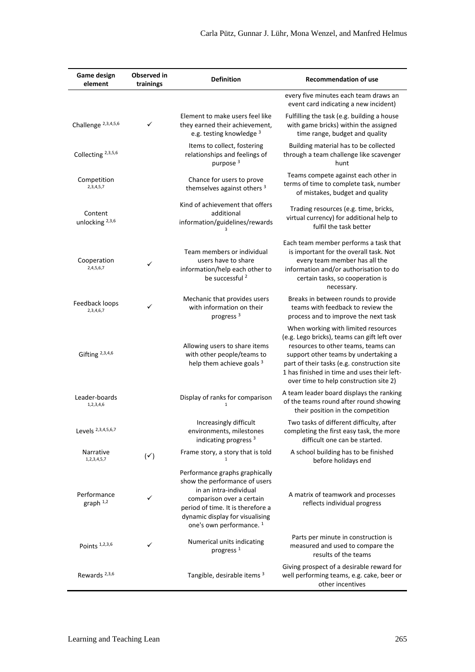| Game design<br>element                | Observed in<br>trainings | <b>Definition</b>                                                                                                                                                                                                                     | <b>Recommendation of use</b>                                                                                                                                                                                                                                                                               |
|---------------------------------------|--------------------------|---------------------------------------------------------------------------------------------------------------------------------------------------------------------------------------------------------------------------------------|------------------------------------------------------------------------------------------------------------------------------------------------------------------------------------------------------------------------------------------------------------------------------------------------------------|
|                                       |                          |                                                                                                                                                                                                                                       | every five minutes each team draws an<br>event card indicating a new incident)                                                                                                                                                                                                                             |
| Challenge <sup>2,3,4,5,6</sup>        | $\checkmark$             | Element to make users feel like<br>they earned their achievement,<br>e.g. testing knowledge <sup>3</sup>                                                                                                                              | Fulfilling the task (e.g. building a house<br>with game bricks) within the assigned<br>time range, budget and quality                                                                                                                                                                                      |
| Collecting <sup>2,3,5,6</sup>         |                          | Items to collect, fostering<br>relationships and feelings of<br>purpose <sup>3</sup>                                                                                                                                                  | Building material has to be collected<br>through a team challenge like scavenger<br>hunt                                                                                                                                                                                                                   |
| Competition<br>2, 3, 4, 5, 7          |                          | Chance for users to prove<br>themselves against others <sup>3</sup>                                                                                                                                                                   | Teams compete against each other in<br>terms of time to complete task, number<br>of mistakes, budget and quality                                                                                                                                                                                           |
| Content<br>unlocking $^{2,3,6}$       |                          | Kind of achievement that offers<br>additional<br>information/guidelines/rewards                                                                                                                                                       | Trading resources (e.g. time, bricks,<br>virtual currency) for additional help to<br>fulfil the task better                                                                                                                                                                                                |
| Cooperation<br>2,4,5,6,7              | ✓                        | Team members or individual<br>users have to share<br>information/help each other to<br>be successful <sup>2</sup>                                                                                                                     | Each team member performs a task that<br>is important for the overall task. Not<br>every team member has all the<br>information and/or authorisation to do<br>certain tasks, so cooperation is<br>necessary.                                                                                               |
| Feedback loops<br>2,3,4,6,7           | ✓                        | Mechanic that provides users<br>with information on their<br>progress <sup>3</sup>                                                                                                                                                    | Breaks in between rounds to provide<br>teams with feedback to review the<br>process and to improve the next task                                                                                                                                                                                           |
| Gifting $2,3,4,6$                     |                          | Allowing users to share items<br>with other people/teams to<br>help them achieve goals 3                                                                                                                                              | When working with limited resources<br>(e.g. Lego bricks), teams can gift left over<br>resources to other teams, teams can<br>support other teams by undertaking a<br>part of their tasks (e.g. construction site<br>1 has finished in time and uses their left-<br>over time to help construction site 2) |
| Leader-boards<br>1,2,3,4,6            |                          | Display of ranks for comparison                                                                                                                                                                                                       | A team leader board displays the ranking<br>of the teams round after round showing<br>their position in the competition                                                                                                                                                                                    |
| Levels 2,3,4,5,6,7                    |                          | Increasingly difficult<br>environments, milestones<br>indicating progress <sup>3</sup>                                                                                                                                                | Two tasks of different difficulty, after<br>completing the first easy task, the more<br>difficult one can be started.                                                                                                                                                                                      |
| Narrative<br>1,2,3,4,5,7              | $(\check{ }')$           | Frame story, a story that is told                                                                                                                                                                                                     | A school building has to be finished<br>before holidays end                                                                                                                                                                                                                                                |
| Performance<br>$graph$ <sup>1,2</sup> | ✓                        | Performance graphs graphically<br>show the performance of users<br>in an intra-individual<br>comparison over a certain<br>period of time. It is therefore a<br>dynamic display for visualising<br>one's own performance. <sup>1</sup> | A matrix of teamwork and processes<br>reflects individual progress                                                                                                                                                                                                                                         |
| Points <sup>1,2,3,6</sup>             | ✓                        | Numerical units indicating<br>progress <sup>1</sup>                                                                                                                                                                                   | Parts per minute in construction is<br>measured and used to compare the<br>results of the teams                                                                                                                                                                                                            |
| Rewards <sup>2,3,6</sup>              |                          | Tangible, desirable items 3                                                                                                                                                                                                           | Giving prospect of a desirable reward for<br>well performing teams, e.g. cake, beer or<br>other incentives                                                                                                                                                                                                 |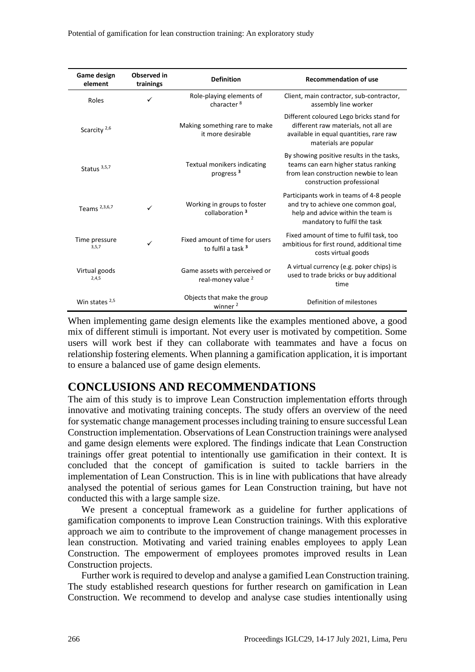| Game design<br>element   | Observed in<br>trainings | <b>Definition</b>                                               | <b>Recommendation of use</b>                                                                                                                            |
|--------------------------|--------------------------|-----------------------------------------------------------------|---------------------------------------------------------------------------------------------------------------------------------------------------------|
| Roles                    | ✓                        | Role-playing elements of<br>character <sup>8</sup>              | Client, main contractor, sub-contractor,<br>assembly line worker                                                                                        |
| Scarcity <sup>2,6</sup>  |                          | Making something rare to make<br>it more desirable              | Different coloured Lego bricks stand for<br>different raw materials, not all are<br>available in equal quantities, rare raw<br>materials are popular    |
| Status $3,5,7$           |                          | Textual monikers indicating<br>progress <sup>3</sup>            | By showing positive results in the tasks,<br>teams can earn higher status ranking<br>from lean construction newbie to lean<br>construction professional |
| Teams <sup>2,3,6,7</sup> | ✓                        | Working in groups to foster<br>collaboration <sup>3</sup>       | Participants work in teams of 4-8 people<br>and try to achieve one common goal,<br>help and advice within the team is<br>mandatory to fulfil the task   |
| Time pressure<br>3,5,7   | ✓                        | Fixed amount of time for users<br>to fulfil a task <sup>3</sup> | Fixed amount of time to fulfil task, too<br>ambitious for first round, additional time<br>costs virtual goods                                           |
| Virtual goods<br>2,4,5   |                          | Game assets with perceived or<br>real-money value <sup>2</sup>  | A virtual currency (e.g. poker chips) is<br>used to trade bricks or buy additional<br>time                                                              |
| Win states $2,5$         |                          | Objects that make the group<br>winner <sup>2</sup>              | Definition of milestones                                                                                                                                |

When implementing game design elements like the examples mentioned above, a good mix of different stimuli is important. Not every user is motivated by competition. Some users will work best if they can collaborate with teammates and have a focus on relationship fostering elements. When planning a gamification application, it is important to ensure a balanced use of game design elements.

### **CONCLUSIONS AND RECOMMENDATIONS**

The aim of this study is to improve Lean Construction implementation efforts through innovative and motivating training concepts. The study offers an overview of the need for systematic change management processes including training to ensure successful Lean Construction implementation. Observations of Lean Construction trainings were analysed and game design elements were explored. The findings indicate that Lean Construction trainings offer great potential to intentionally use gamification in their context. It is concluded that the concept of gamification is suited to tackle barriers in the implementation of Lean Construction. This is in line with publications that have already analysed the potential of serious games for Lean Construction training, but have not conducted this with a large sample size.

We present a conceptual framework as a guideline for further applications of gamification components to improve Lean Construction trainings. With this explorative approach we aim to contribute to the improvement of change management processes in lean construction. Motivating and varied training enables employees to apply Lean Construction. The empowerment of employees promotes improved results in Lean Construction projects.

Further work is required to develop and analyse a gamified Lean Construction training. The study established research questions for further research on gamification in Lean Construction. We recommend to develop and analyse case studies intentionally using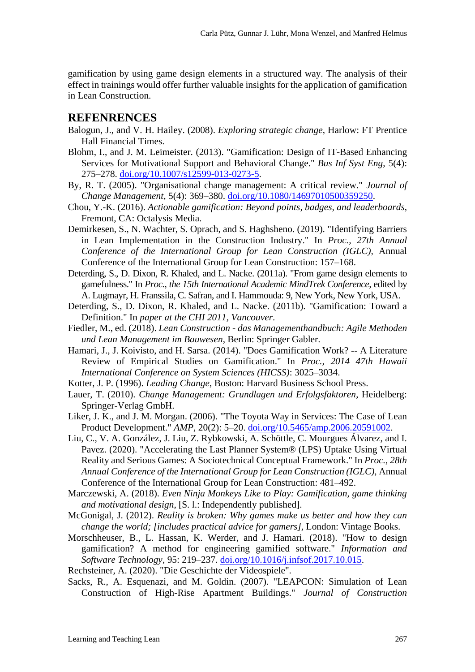gamification by using game design elements in a structured way. The analysis of their effect in trainings would offer further valuable insights for the application of gamification in Lean Construction.

### **REFENRENCES**

- Balogun, J., and V. H. Hailey. (2008). *Exploring strategic change*, Harlow: FT Prentice Hall Financial Times.
- Blohm, I., and J. M. Leimeister. (2013). "Gamification: Design of IT-Based Enhancing Services for Motivational Support and Behavioral Change." *Bus Inf Syst Eng*, 5(4): 275–278. [doi.org/10.1007/s12599-013-0273-5.](https://doi.org/10.1007/s12599-013-0273-5)
- By, R. T. (2005). "Organisational change management: A critical review." *Journal of Change Management*, 5(4): 369–380. [doi.org/10.1080/14697010500359250.](https://doi.org/10.1080/14697010500359250)
- Chou, Y.-K. (2016). *Actionable gamification: Beyond points, badges, and leaderboards*, Fremont, CA: Octalysis Media.
- Demirkesen, S., N. Wachter, S. Oprach, and S. Haghsheno. (2019). "Identifying Barriers in Lean Implementation in the Construction Industry." In *Proc., 27th Annual Conference of the International Group for Lean Construction (IGLC),* Annual Conference of the International Group for Lean Construction: 157–168.
- Deterding, S., D. Dixon, R. Khaled, and L. Nacke. (2011a). "From game design elements to gamefulness." In *Proc., the 15th International Academic MindTrek Conference,* edited by A. Lugmayr, H. Franssila, C. Safran, and I. Hammouda: 9, New York, New York, USA.
- Deterding, S., D. Dixon, R. Khaled, and L. Nacke. (2011b). "Gamification: Toward a Definition." In *paper at the CHI 2011, Vancouver*.
- Fiedler, M., ed. (2018). *Lean Construction - das Managementhandbuch: Agile Methoden und Lean Management im Bauwesen*, Berlin: Springer Gabler.
- Hamari, J., J. Koivisto, and H. Sarsa. (2014). "Does Gamification Work? -- A Literature Review of Empirical Studies on Gamification." In *Proc., 2014 47th Hawaii International Conference on System Sciences (HICSS)*: 3025–3034.
- Kotter, J. P. (1996). *Leading Change*, Boston: Harvard Business School Press.
- Lauer, T. (2010). *Change Management: Grundlagen und Erfolgsfaktoren*, Heidelberg: Springer-Verlag GmbH.
- Liker, J. K., and J. M. Morgan. (2006). "The Toyota Way in Services: The Case of Lean Product Development." *AMP*, 20(2): 5–20. [doi.org/10.5465/amp.2006.20591002.](https://doi.org/10.5465/amp.2006.20591002)
- Liu, C., V. A. González, J. Liu, Z. Rybkowski, A. Schöttle, C. Mourgues Álvarez, and I. Pavez. (2020). "Accelerating the Last Planner System® (LPS) Uptake Using Virtual Reality and Serious Games: A Sociotechnical Conceptual Framework." In *Proc., 28th Annual Conference of the International Group for Lean Construction (IGLC),* Annual Conference of the International Group for Lean Construction: 481–492.
- Marczewski, A. (2018). *Even Ninja Monkeys Like to Play: Gamification, game thinking and motivational design*, [S. l.: Independently published].
- McGonigal, J. (2012). *Reality is broken: Why games make us better and how they can change the world; [includes practical advice for gamers]*, London: Vintage Books.
- Morschheuser, B., L. Hassan, K. Werder, and J. Hamari. (2018). "How to design gamification? A method for engineering gamified software." *Information and Software Technology*, 95: 219–237. [doi.org/10.1016/j.infsof.2017.10.015.](https://doi.org/10.1016/j.infsof.2017.10.015)
- Rechsteiner, A. (2020). "Die Geschichte der Videospiele".
- Sacks, R., A. Esquenazi, and M. Goldin. (2007). "LEAPCON: Simulation of Lean Construction of High-Rise Apartment Buildings." *Journal of Construction*